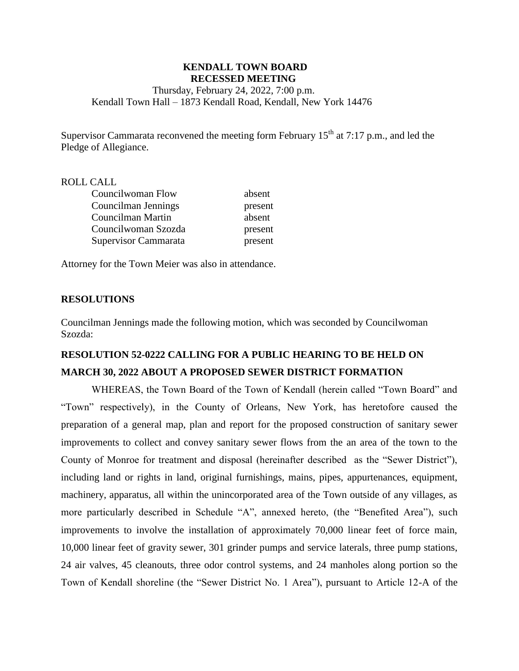### **KENDALL TOWN BOARD RECESSED MEETING**

Thursday, February 24, 2022, 7:00 p.m. Kendall Town Hall – 1873 Kendall Road, Kendall, New York 14476

Supervisor Cammarata reconvened the meeting form February  $15<sup>th</sup>$  at 7:17 p.m., and led the Pledge of Allegiance.

#### ROLL CALL

| Councilwoman Flow    | absent  |
|----------------------|---------|
| Councilman Jennings  | present |
| Councilman Martin    | absent  |
| Councilwoman Szozda  | present |
| Supervisor Cammarata | present |

Attorney for the Town Meier was also in attendance.

#### **RESOLUTIONS**

Councilman Jennings made the following motion, which was seconded by Councilwoman Szozda:

# **RESOLUTION 52-0222 CALLING FOR A PUBLIC HEARING TO BE HELD ON MARCH 30, 2022 ABOUT A PROPOSED SEWER DISTRICT FORMATION**

WHEREAS, the Town Board of the Town of Kendall (herein called "Town Board" and "Town" respectively), in the County of Orleans, New York, has heretofore caused the preparation of a general map, plan and report for the proposed construction of sanitary sewer improvements to collect and convey sanitary sewer flows from the an area of the town to the County of Monroe for treatment and disposal (hereinafter described as the "Sewer District"), including land or rights in land, original furnishings, mains, pipes, appurtenances, equipment, machinery, apparatus, all within the unincorporated area of the Town outside of any villages, as more particularly described in Schedule "A", annexed hereto, (the "Benefited Area"), such improvements to involve the installation of approximately 70,000 linear feet of force main, 10,000 linear feet of gravity sewer, 301 grinder pumps and service laterals, three pump stations, 24 air valves, 45 cleanouts, three odor control systems, and 24 manholes along portion so the Town of Kendall shoreline (the "Sewer District No. 1 Area"), pursuant to Article 12-A of the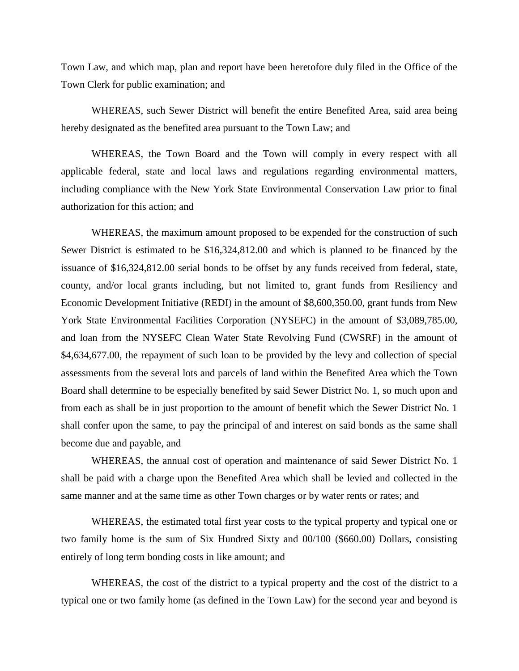Town Law, and which map, plan and report have been heretofore duly filed in the Office of the Town Clerk for public examination; and

WHEREAS, such Sewer District will benefit the entire Benefited Area, said area being hereby designated as the benefited area pursuant to the Town Law; and

WHEREAS, the Town Board and the Town will comply in every respect with all applicable federal, state and local laws and regulations regarding environmental matters, including compliance with the New York State Environmental Conservation Law prior to final authorization for this action; and

WHEREAS, the maximum amount proposed to be expended for the construction of such Sewer District is estimated to be \$16,324,812.00 and which is planned to be financed by the issuance of \$16,324,812.00 serial bonds to be offset by any funds received from federal, state, county, and/or local grants including, but not limited to, grant funds from Resiliency and Economic Development Initiative (REDI) in the amount of \$8,600,350.00, grant funds from New York State Environmental Facilities Corporation (NYSEFC) in the amount of \$3,089,785.00, and loan from the NYSEFC Clean Water State Revolving Fund (CWSRF) in the amount of \$4,634,677.00, the repayment of such loan to be provided by the levy and collection of special assessments from the several lots and parcels of land within the Benefited Area which the Town Board shall determine to be especially benefited by said Sewer District No. 1, so much upon and from each as shall be in just proportion to the amount of benefit which the Sewer District No. 1 shall confer upon the same, to pay the principal of and interest on said bonds as the same shall become due and payable, and

WHEREAS, the annual cost of operation and maintenance of said Sewer District No. 1 shall be paid with a charge upon the Benefited Area which shall be levied and collected in the same manner and at the same time as other Town charges or by water rents or rates; and

WHEREAS, the estimated total first year costs to the typical property and typical one or two family home is the sum of Six Hundred Sixty and 00/100 (\$660.00) Dollars, consisting entirely of long term bonding costs in like amount; and

WHEREAS, the cost of the district to a typical property and the cost of the district to a typical one or two family home (as defined in the Town Law) for the second year and beyond is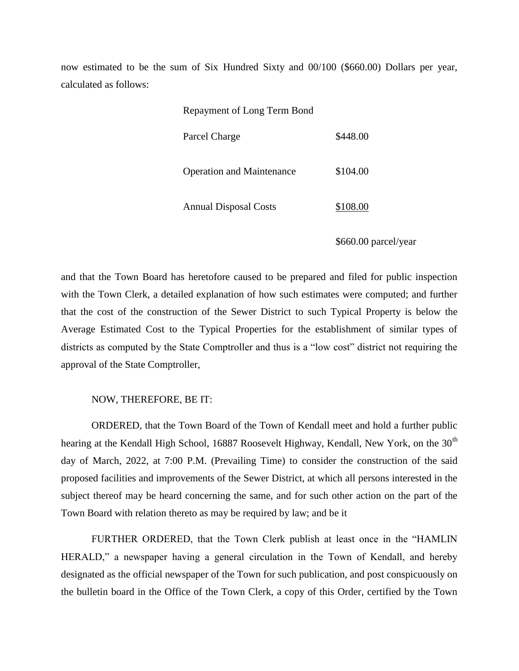now estimated to be the sum of Six Hundred Sixty and 00/100 (\$660.00) Dollars per year, calculated as follows:

Repayment of Long Term Bond

| Parcel Charge                    | \$448.00 |
|----------------------------------|----------|
| <b>Operation and Maintenance</b> | \$104.00 |
| <b>Annual Disposal Costs</b>     | \$108.00 |

\$660.00 parcel/year

and that the Town Board has heretofore caused to be prepared and filed for public inspection with the Town Clerk, a detailed explanation of how such estimates were computed; and further that the cost of the construction of the Sewer District to such Typical Property is below the Average Estimated Cost to the Typical Properties for the establishment of similar types of districts as computed by the State Comptroller and thus is a "low cost" district not requiring the approval of the State Comptroller,

#### NOW, THEREFORE, BE IT:

ORDERED, that the Town Board of the Town of Kendall meet and hold a further public hearing at the Kendall High School, 16887 Roosevelt Highway, Kendall, New York, on the 30<sup>th</sup> day of March, 2022, at 7:00 P.M. (Prevailing Time) to consider the construction of the said proposed facilities and improvements of the Sewer District, at which all persons interested in the subject thereof may be heard concerning the same, and for such other action on the part of the Town Board with relation thereto as may be required by law; and be it

FURTHER ORDERED, that the Town Clerk publish at least once in the "HAMLIN HERALD," a newspaper having a general circulation in the Town of Kendall, and hereby designated as the official newspaper of the Town for such publication, and post conspicuously on the bulletin board in the Office of the Town Clerk, a copy of this Order, certified by the Town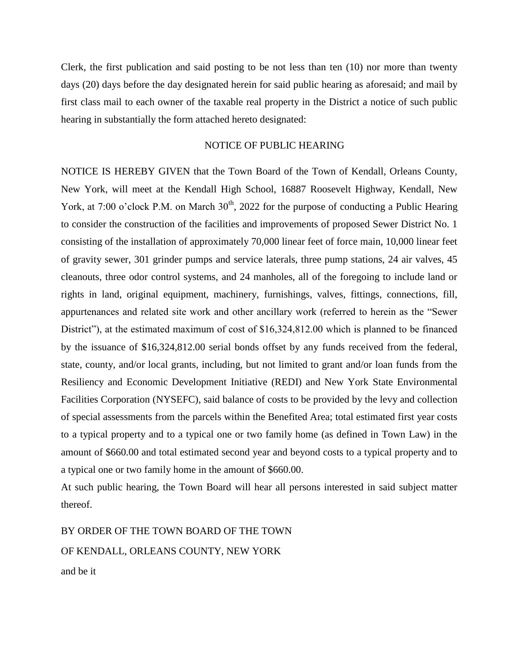Clerk, the first publication and said posting to be not less than ten (10) nor more than twenty days (20) days before the day designated herein for said public hearing as aforesaid; and mail by first class mail to each owner of the taxable real property in the District a notice of such public hearing in substantially the form attached hereto designated:

### NOTICE OF PUBLIC HEARING

NOTICE IS HEREBY GIVEN that the Town Board of the Town of Kendall, Orleans County, New York, will meet at the Kendall High School, 16887 Roosevelt Highway, Kendall, New York, at 7:00 o'clock P.M. on March  $30<sup>th</sup>$ , 2022 for the purpose of conducting a Public Hearing to consider the construction of the facilities and improvements of proposed Sewer District No. 1 consisting of the installation of approximately 70,000 linear feet of force main, 10,000 linear feet of gravity sewer, 301 grinder pumps and service laterals, three pump stations, 24 air valves, 45 cleanouts, three odor control systems, and 24 manholes, all of the foregoing to include land or rights in land, original equipment, machinery, furnishings, valves, fittings, connections, fill, appurtenances and related site work and other ancillary work (referred to herein as the "Sewer District"), at the estimated maximum of cost of \$16,324,812.00 which is planned to be financed by the issuance of \$16,324,812.00 serial bonds offset by any funds received from the federal, state, county, and/or local grants, including, but not limited to grant and/or loan funds from the Resiliency and Economic Development Initiative (REDI) and New York State Environmental Facilities Corporation (NYSEFC), said balance of costs to be provided by the levy and collection of special assessments from the parcels within the Benefited Area; total estimated first year costs to a typical property and to a typical one or two family home (as defined in Town Law) in the amount of \$660.00 and total estimated second year and beyond costs to a typical property and to a typical one or two family home in the amount of \$660.00.

At such public hearing, the Town Board will hear all persons interested in said subject matter thereof.

BY ORDER OF THE TOWN BOARD OF THE TOWN OF KENDALL, ORLEANS COUNTY, NEW YORK and be it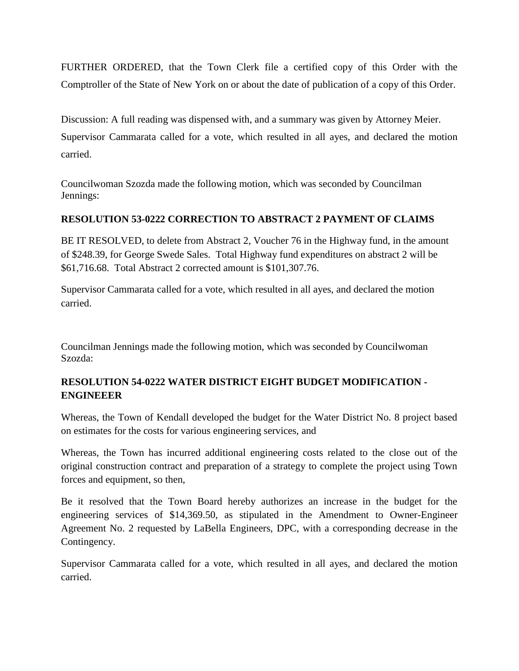FURTHER ORDERED, that the Town Clerk file a certified copy of this Order with the Comptroller of the State of New York on or about the date of publication of a copy of this Order.

Discussion: A full reading was dispensed with, and a summary was given by Attorney Meier.

Supervisor Cammarata called for a vote, which resulted in all ayes, and declared the motion carried.

Councilwoman Szozda made the following motion, which was seconded by Councilman Jennings:

### **RESOLUTION 53-0222 CORRECTION TO ABSTRACT 2 PAYMENT OF CLAIMS**

BE IT RESOLVED, to delete from Abstract 2, Voucher 76 in the Highway fund, in the amount of \$248.39, for George Swede Sales. Total Highway fund expenditures on abstract 2 will be \$61,716.68. Total Abstract 2 corrected amount is \$101,307.76.

Supervisor Cammarata called for a vote, which resulted in all ayes, and declared the motion carried.

Councilman Jennings made the following motion, which was seconded by Councilwoman Szozda:

## **RESOLUTION 54-0222 WATER DISTRICT EIGHT BUDGET MODIFICATION - ENGINEEER**

Whereas, the Town of Kendall developed the budget for the Water District No. 8 project based on estimates for the costs for various engineering services, and

Whereas, the Town has incurred additional engineering costs related to the close out of the original construction contract and preparation of a strategy to complete the project using Town forces and equipment, so then,

Be it resolved that the Town Board hereby authorizes an increase in the budget for the engineering services of \$14,369.50, as stipulated in the Amendment to Owner-Engineer Agreement No. 2 requested by LaBella Engineers, DPC, with a corresponding decrease in the Contingency.

Supervisor Cammarata called for a vote, which resulted in all ayes, and declared the motion carried.